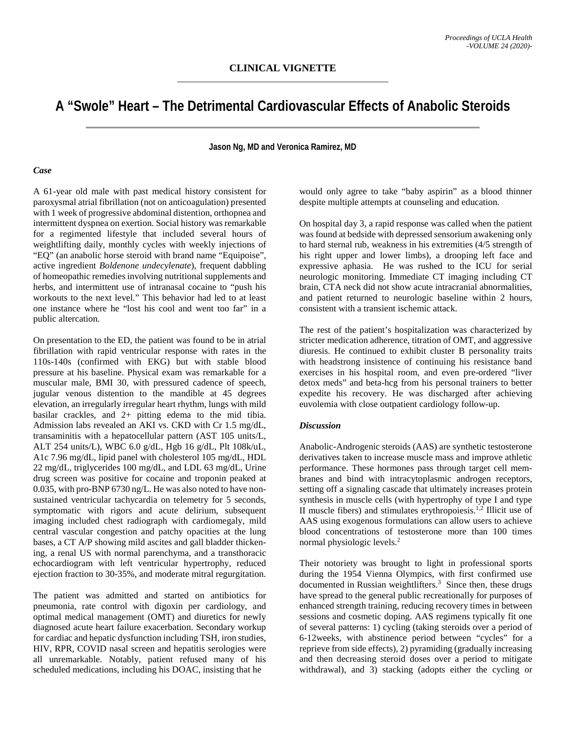# **A "Swole" Heart – The Detrimental Cardiovascular Effects of Anabolic Steroids**

**Jason Ng, MD and Veronica Ramirez, MD**

#### *Case*

A 61-year old male with past medical history consistent for paroxysmal atrial fibrillation (not on anticoagulation) presented with 1 week of progressive abdominal distention, orthopnea and intermittent dyspnea on exertion. Social history was remarkable for a regimented lifestyle that included several hours of weightlifting daily, monthly cycles with weekly injections of "EQ" (an anabolic horse steroid with brand name "Equipoise", active ingredient *Boldenone undecylenate*), frequent dabbling of homeopathic remedies involving nutritional supplements and herbs, and intermittent use of intranasal cocaine to "push his workouts to the next level." This behavior had led to at least one instance where he "lost his cool and went too far" in a public altercation.

On presentation to the ED, the patient was found to be in atrial fibrillation with rapid ventricular response with rates in the 110s-140s (confirmed with EKG) but with stable blood pressure at his baseline. Physical exam was remarkable for a muscular male, BMI 30, with pressured cadence of speech, jugular venous distention to the mandible at 45 degrees elevation, an irregularly irregular heart rhythm, lungs with mild basilar crackles, and 2+ pitting edema to the mid tibia. Admission labs revealed an AKI vs. CKD with Cr 1.5 mg/dL, transaminitis with a hepatocellular pattern (AST 105 units/L, ALT 254 units/L), WBC 6.0 g/dL, Hgb 16 g/dL, Plt 108k/uL, A1c 7.96 mg/dL, lipid panel with cholesterol 105 mg/dL, HDL 22 mg/dL, triglycerides 100 mg/dL, and LDL 63 mg/dL, Urine drug screen was positive for cocaine and troponin peaked at 0.035, with pro-BNP 6730 ng/L. He was also noted to have nonsustained ventricular tachycardia on telemetry for 5 seconds, symptomatic with rigors and acute delirium, subsequent imaging included chest radiograph with cardiomegaly, mild central vascular congestion and patchy opacities at the lung bases, a CT A/P showing mild ascites and gall bladder thickening, a renal US with normal parenchyma, and a transthoracic echocardiogram with left ventricular hypertrophy, reduced ejection fraction to 30-35%, and moderate mitral regurgitation.

The patient was admitted and started on antibiotics for pneumonia, rate control with digoxin per cardiology, and optimal medical management (OMT) and diuretics for newly diagnosed acute heart failure exacerbation. Secondary workup for cardiac and hepatic dysfunction including TSH, iron studies, HIV, RPR, COVID nasal screen and hepatitis serologies were all unremarkable. Notably, patient refused many of his scheduled medications, including his DOAC, insisting that he

would only agree to take "baby aspirin" as a blood thinner despite multiple attempts at counseling and education.

On hospital day 3, a rapid response was called when the patient was found at bedside with depressed sensorium awakening only to hard sternal rub, weakness in his extremities (4/5 strength of his right upper and lower limbs), a drooping left face and expressive aphasia. He was rushed to the ICU for serial neurologic monitoring. Immediate CT imaging including CT brain, CTA neck did not show acute intracranial abnormalities, and patient returned to neurologic baseline within 2 hours, consistent with a transient ischemic attack.

The rest of the patient's hospitalization was characterized by stricter medication adherence, titration of OMT, and aggressive diuresis. He continued to exhibit cluster B personality traits with headstrong insistence of continuing his resistance band exercises in his hospital room, and even pre-ordered "liver detox meds" and beta-hcg from his personal trainers to better expedite his recovery. He was discharged after achieving euvolemia with close outpatient cardiology follow-up.

#### *Discussion*

Anabolic-Androgenic steroids (AAS) are synthetic testosterone derivatives taken to increase muscle mass and improve athletic performance. These hormones pass through target cell membranes and bind with intracytoplasmic androgen receptors, setting off a signaling cascade that ultimately increases protein synthesis in muscle cells (with hypertrophy of type I and type II muscle fibers) and stimulates erythropoiesis.<sup>1,2</sup> Illicit use of AAS using exogenous formulations can allow users to achieve blood concentrations of testosterone more than 100 times normal physiologic levels. 2

Their notoriety was brought to light in professional sports during the 1954 Vienna Olympics, with first confirmed use documented in Russian weightlifters. 3 Since then, these drugs have spread to the general public recreationally for purposes of enhanced strength training, reducing recovery times in between sessions and cosmetic doping. AAS regimens typically fit one of several patterns: 1) cycling (taking steroids over a period of 6-12weeks, with abstinence period between "cycles" for a reprieve from side effects), 2) pyramiding (gradually increasing and then decreasing steroid doses over a period to mitigate withdrawal), and 3) stacking (adopts either the cycling or